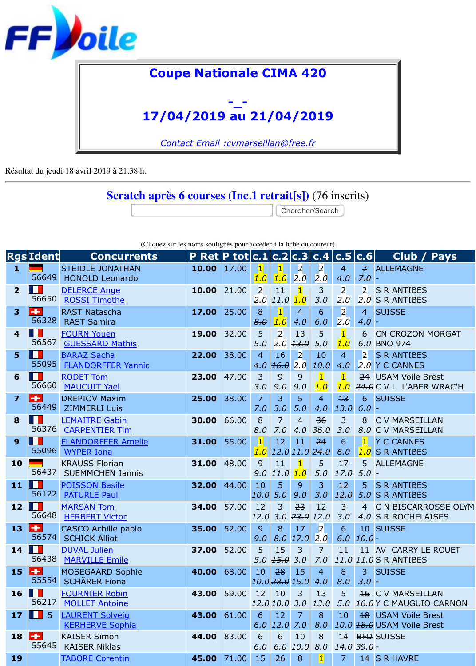Résultat du jeudi 18 avril 2019 à 21.38 h.

## **Scratch après 6 courses (Inc.1 retrait[s])** (76 inscrits)

Chercher/Search

| (Cliquez sur les noms soulignés pour accéder à la fiche du coureur) |  |  |  |
|---------------------------------------------------------------------|--|--|--|
|                                                                     |  |  |  |

|                         | <b>Rgs</b> Ident      | <b>Concurrents</b>                                 | <b>P Ret P tot c.1 c.2 c.3 c.4 c.5 c.6</b> |       |                            |                                       |                       |                                |                        |                           | C                                              |
|-------------------------|-----------------------|----------------------------------------------------|--------------------------------------------|-------|----------------------------|---------------------------------------|-----------------------|--------------------------------|------------------------|---------------------------|------------------------------------------------|
| $\mathbf{1}$            | 56649                 | <b>STEIDLE JONATHAN</b><br><b>HONOLD Leonardo</b>  | 10.00                                      | 17.00 | $\vert$ 1<br>1.0           | $\vert$ 1<br>1.0                      | $\overline{2}$<br>2.0 | $\overline{2}$<br>2.0          | 4<br>4.0               | $\overline{f}$<br>7.0     | <b>ALLEM</b>                                   |
| $\overline{2}$          | ш<br>56650            | <b>DELERCE Ange</b><br><b>ROSSI Timothe</b>        | 10.00                                      | 21.00 | $\overline{2}$<br>2.0      | $+1$<br>11.0                          | 1.0                   | 3<br>3.0                       | $\overline{2}$<br>2.0  | $\overline{2}$<br>2.0     | <b>SRAN</b><br><b>SRAN</b>                     |
| 3                       | ÷<br>56328            | <b>RAST Natascha</b><br><b>RAST Samira</b>         | 17.00                                      | 25.00 | 8<br>8.0                   | 1 <br>1.0                             | $\overline{4}$<br>4.0 | 6<br>6.0                       | $\overline{2}$<br>2.0  | $\overline{4}$<br>$4.0 -$ | <b>SUISS</b>                                   |
| $\overline{\mathbf{4}}$ | ш<br>56567            | <b>FOURN Youen</b><br><b>GUESSARD Mathis</b>       | 19.00                                      | 32.00 | 5<br>5.0                   | $\overline{2}$<br>2.0                 | $+3$<br>13.0          | 5<br>5.0                       | $\vert$ 1<br>1.0       | 6<br>6.0                  | <b>CN CR</b><br><b>BNO 9</b>                   |
| 5                       | ш<br>55095            | <b>BARAZ Sacha</b><br><b>FLANDORFFER Yannic</b>    | 22.00                                      | 38.00 | $\overline{4}$<br>4.0      | $\overline{16}$<br>16.0               | $\overline{2}$<br>2.0 | 10<br>10.0                     | $\overline{4}$<br>4.0  | $\overline{2}$            | <b>SRAN</b><br>2.0 Y C CA                      |
| 6                       | ш<br>56660            | <b>RODET Tom</b><br><b>MAUCUIT Yael</b>            | 23.00                                      | 47.00 | 3<br>3.0                   | 9<br>9.0                              | 9<br>9.0              | $\overline{\mathbf{1}}$<br>1.0 | $\overline{1}$<br>1.0  |                           | 24 USAM<br>$24.0$ C V L                        |
| 7                       | ÷<br>56449            | <b>DREPIOV Maxim</b><br><b>ZIMMERLI Luis</b>       | 25.00                                      | 38.00 | $\overline{7}$<br>7.0      | $\overline{3}$<br>3.0                 | 5<br>5.0              | $\overline{4}$<br>4.0          | 13<br>13.0             | 6<br>$6.0 -$              | <b>SUISS</b>                                   |
| 8                       | ш<br>56376            | <b>LEMAITRE Gabin</b><br><b>CARPENTIER Tim</b>     | 30.00                                      | 66.00 | 8<br>8.0                   | $\overline{7}$<br>7.0                 | $\overline{4}$<br>4.0 | 36<br>36.0                     | 3<br>3.0               | 8<br>8.0                  | C V MA<br>C V MA                               |
| 9                       | Ш<br>55096            | <b>FLANDORFFER Amelie</b><br><b>WYPER Iona</b>     | 31.00                                      | 55.00 | $\vert$ 1<br>1.0           | 12                                    | 11                    | 24<br>12.0 11.0 24.0           | 6<br>6.0               | $\vert$ 1 $\vert$<br>1.0  | Y C CA<br><b>SRAN</b>                          |
| 10                      | 56437                 | <b>KRAUSS Florian</b><br><b>SUEMMCHEN Jannis</b>   | 31.00                                      | 48.00 | 9<br>9.0                   | 11<br>11.0                            | 1.0                   | 5<br>5.0                       | 17<br>17.0             | 5<br>$5.0 -$              | <b>ALLEM</b>                                   |
| 11                      | ш<br>56122            | <b>POISSON Basile</b><br><b>PATURLE Paul</b>       | 32.00                                      | 44.00 | 10<br>10.0                 | 5<br>5.0                              | 9<br>9.0              | 3<br>3.0                       | 12<br>12.0             | 5 <sup>5</sup>            | <b>SRAN</b><br>5.0 S R AN                      |
| 12                      | ш<br>56648            | <b>MARSAN Tom</b><br><b>HERBERT Victor</b>         | 34.00                                      | 57.00 | 12<br>12.0                 | 3<br>3.0                              | 23                    | 12<br>$23.0$ 12.0              | 3<br>3.0               | $\overline{4}$            | C N BI<br>4.0 S R RO                           |
| 13                      | ÷<br>56574            | <b>CASCO Achille pablo</b><br><b>SCHICK Alliot</b> | 35.00                                      | 52.00 | 9<br>9.0                   | 8                                     | $+7$<br>$8.0 \; 17.0$ | $\overline{2}$<br>2.0          | 6                      | $6.0$ $10.0$ -            | 10 SUISS                                       |
| $14$ $\blacksquare$     | 56438                 | <b>DUVAL Julien</b><br><b>MARVILLE Emile</b>       | 37.00                                      | 52.00 | 5                          | $+5$<br>$5.0$ $\overline{45.0}$ $3.0$ | 3                     | 7<br>7.0                       | 11                     |                           | 11 AV CA<br>11.0 11.0 S R AN                   |
| 15                      | ÷<br>55554            | <b>MOSEGAARD Sophie</b><br><b>SCHÄRER Fiona</b>    | 40.00                                      | 68.00 | 10<br>$10.0$ $28.0$ $15.0$ | 28                                    | 15                    | $\overline{4}$<br>4.0          | 8<br>8.0               | $\overline{3}$<br>$3.0 -$ | SUISS                                          |
| 16                      | . .<br>56217          | <b>FOURNIER Robin</b><br><b>MOLLET Antoine</b>     | 43.00                                      | 59.00 | 12                         | 10<br>12.0 10.0 3.0                   | 3                     | 13<br>13.0                     | 5                      |                           | <b>16 C V MA</b><br>5.0 <del>16.0</del> Y C MA |
| 17                      | $5\phantom{1}$<br>. . | <b>LAURENT Solveig</b><br><b>KERHERVE Sophia</b>   | 43.00                                      | 61.00 | 6                          | 12<br>$6.0$ $12.0$ $7.0$              | $\overline{7}$        | 8<br>8.0                       | 10                     |                           | 18 USAM<br>10.0 18.0 USAM                      |
| 18                      | H.<br>55645           | <b>KAISER Simon</b><br><b>KAISER Niklas</b>        | 44.00                                      | 83.00 | 6<br>6.0                   | 6                                     | 10<br>6.0 10.0        | 8<br>8.0                       | 14.0 <del>39.0</del> - |                           | 14 BFD SUISS                                   |
| 19                      |                       | <b>TABORE Corentin</b>                             | 45.00                                      | 71.00 | 15                         | 26                                    | 8                     | $\vert$                        | 7                      |                           | 14 S R HA                                      |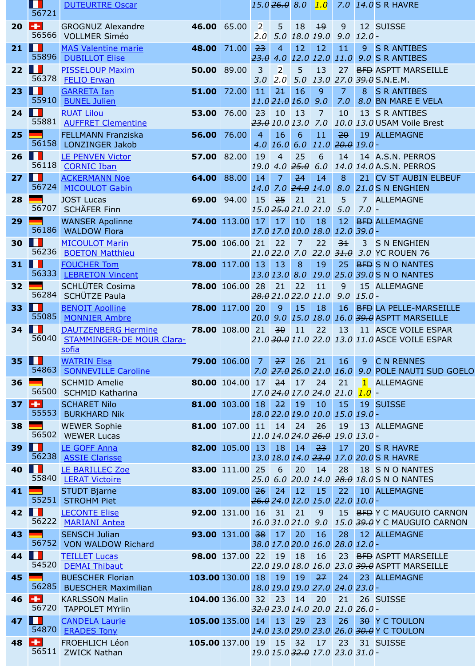| 26 | Ш<br>56118             | <b>ALTERNATIVE ASIANA</b><br><b>LE PENVEN Victor</b><br><b>CORNIC Iban</b> | 57.00 82.00            |       | 19         | $\overline{4}$ | 25<br>$19.0$ 4.0 $25.0$ 6.0 | 6                          | 14                                    |                           | 14 A.S.N.<br>14.0 14.0 A.S.N.                        |
|----|------------------------|----------------------------------------------------------------------------|------------------------|-------|------------|----------------|-----------------------------|----------------------------|---------------------------------------|---------------------------|------------------------------------------------------|
| 27 | Ш                      | <b>ACKERMANN Noe</b>                                                       | 64.00                  | 88.00 | 14         | 7              | 24                          | 14                         | 8                                     |                           | 21 CV ST                                             |
| 28 | 56724                  | <b>MICOULOT Gabin</b><br><b>JOST Lucas</b>                                 | 69.00 94.00            |       | 14.0<br>15 | 7.0<br>25      | 21                          | $24.0$ 14.0<br>21          | 8.0<br>5                              |                           | 21.0 S N EN<br>7 ALLEM                               |
|    | 56707                  | <b>SCHÄFER Finn</b>                                                        |                        |       |            |                |                             | 15.0 25.0 21.0 21.0        | 5.0                                   | $7.0 -$                   |                                                      |
| 29 | 56186                  | <b>WANSER Apolinne</b><br><b>WALDOW Flora</b>                              | 74.00 113.00           |       | 17         | 17             | 10                          | 18<br>17.0 17.0 10.0 18.0  | 12<br>$12.0$ 39.0 -                   |                           | <b>BFD ALLEM</b>                                     |
| 30 | . .                    | <b>MICOULOT Marin</b>                                                      | 75.00 106.00 21        |       |            | 22             | $\overline{7}$              | 22                         | 3 <sup>1</sup>                        |                           | 3 SNEN                                               |
| 31 | 56236<br>.             | <b>BOETON Matthieu</b><br><b>FOUCHER Tom</b>                               | 78.00 117.00           |       | 13         | 13             | 8                           | 19                         | $21.022.0$ 7.0 22.0 $31.0$<br>25      |                           | 3.0 YC RO<br>BFD SNO                                 |
|    | 56333                  | <b>LEBRETON Vincent</b>                                                    |                        |       | 13.0 13.0  |                |                             |                            |                                       |                           | 8.0 19.0 25.0 39.0 S N O                             |
| 32 | 56284                  | <b>SCHLÜTER Cosima</b><br>SCHÜTZE Paula                                    | 78.00 106.00 28        |       |            | 21             | 22                          | 11<br>28.0 21.0 22.0 11.0  | 9<br>9.0                              | $15.0 -$                  | 15 ALLEM                                             |
| 33 | ш<br>55085             | <b>BENOIT Apolline</b>                                                     | 78.00 117.00           |       | 20         | 9              | 15                          | 18                         | 16                                    |                           | <b>BFD LA PEL</b>                                    |
| 34 | <b>I B</b>             | <b>MONNIER Ambre</b><br><b>DAUTZENBERG Hermine</b>                         | 78.00 108.00           |       | 20.0<br>21 | 30             | 11                          | 9.0 15.0 18.0<br>22        | 13                                    |                           | <i>16.0 <del>39.0</del></i> ASPTT<br>11 ASCE         |
|    | 56040                  | <b>STAMMINGER-DE MOUR Clara-</b>                                           |                        |       |            |                |                             |                            |                                       |                           | 21.0 30.0 11.0 22.0 13.0 11.0 ASCE                   |
| 35 | ш                      | sofia<br><b>WATRIN Elsa</b>                                                | 79.00 106.00           |       | 7          | 27             | 26                          | 21                         | 16                                    | 9                         | C N RE                                               |
|    | 54863                  | <b>SONNEVILLE Caroline</b>                                                 |                        |       |            |                |                             | $7.0$ $27.0$ $26.0$ $21.0$ | 16.0                                  |                           | 9.0 POLE N                                           |
| 36 | 56500                  | <b>SCHMID Amelie</b><br><b>SCHMID Katharina</b>                            | 80.00 104.00           |       | 17         | 24             | 17                          | 24<br>17.0 24.0 17.0 24.0  | 21<br>21.0                            | $\blacksquare$<br>$1.0 -$ | <b>ALLEM</b>                                         |
| 37 | ł<br>55553             | <b>SCHARET Nilo</b><br><b>BURKHARD Nik</b>                                 | 81.00 103.00           |       | 18         | 22             | 19                          | 10                         | 15                                    |                           | 19 SUISS                                             |
| 38 |                        | <b>WEWER Sophie</b>                                                        | 81.00 107.00 11        |       |            |                | 14 24                       | 18.0 22.0 19.0 10.0<br>26  | $15.0$ $19.0$ -<br>19                 |                           | 13 ALLEM                                             |
|    |                        | 56502 WEWER Lucas                                                          |                        |       |            |                |                             |                            | 11.0 14.0 24.0 26.0 19.0 13.0 -       |                           |                                                      |
| 39 |                        | <b>LE GOFF Anna</b><br>56238 ASSIE Clarisse                                | 82.00 105.00 13        |       |            | 18             | 14                          | 23                         | 17                                    |                           | 20 S R HA<br>13.0 18.0 14.0 23.0 17.0 20.0 S R HA    |
| 40 | . .<br>55840           | LE BARILLEC Zoe                                                            | 83.00 111.00 25        |       |            | 6              | 20                          | 14                         | 28                                    |                           | 18 S N O                                             |
| 41 |                        | <b>LERAT Victoire</b><br><b>STUDT Bjarne</b>                               | 83.00 109.00           |       | 25.0<br>26 | 24             | 12                          | 15                         | 22                                    |                           | 6.0 20.0 14.0 <del>28.0</del> 18.0 S N O<br>10 ALLEM |
|    | 55251                  | <b>STROHM Piet</b>                                                         |                        |       |            |                |                             |                            | 26.0 24.0 12.0 15.0 22.0 10.0 -       |                           |                                                      |
| 42 | ш<br>56222             | <b>LECONTE Elise</b><br><b>MARIANI Antea</b>                               | 92.00 131.00 16 31 21  |       |            |                | 16.031.021.09.0             | 9                          |                                       |                           | 15 BFD Y C MA<br>15.0 39.0 Y C MA                    |
| 43 |                        | <b>SENSCH Julian</b><br>56752 VON WALDOW Richard                           | 93.00 131.00 38        |       |            | 17             | 20                          | 16                         | 28<br>38.0 17.0 20.0 16.0 28.0 12.0 - |                           | 12 ALLEM                                             |
| 44 | w                      | <b>TEILLET Lucas</b>                                                       | 98.00 137.00 22        |       |            | 19             | 18                          | 16                         |                                       |                           | 23 BFD ASPTT                                         |
|    | 54520                  | <b>DEMAI Thibaut</b>                                                       |                        |       |            |                |                             |                            |                                       |                           | 22.0 19.0 18.0 16.0 23.0 39.0 ASPTT                  |
| 45 | 56285                  | <b>BUESCHER Florian</b><br><b>BUESCHER Maximilian</b>                      | 103.00 130.00          |       | 18         | 19             | 19                          | 27                         | 24<br>18.0 19.0 19.0 27.0 24.0 23.0 - |                           | 23 ALLEM                                             |
| 46 | H<br>56720             | <b>KARLSSON Malin</b><br><b>TAPPOLET MYrlin</b>                            | 104.00 136.00 32 23    |       |            |                | 14                          | 20                         | 21<br>$32.023.014.020.021.026.0 -$    |                           | 26 SUISS                                             |
| 47 | . .                    | <b>CANDELA Laurie</b>                                                      | 105.00 135.00 14 13    |       |            |                | 29                          | 23                         | 26                                    |                           | <b>30 Y C TO</b>                                     |
| 48 | 54870<br>$\frac{1}{2}$ | <b>ERADES Tony</b><br><b>FROEHLICH Léon</b>                                | 105.00 137.00 19 15 32 |       |            |                |                             | 17                         | 23                                    |                           | 14.0 13.0 29.0 23.0 26.0 30.0 Y C TO<br>31 SUISS     |
|    |                        | 56511 ZWICK Nathan                                                         |                        |       |            |                |                             |                            | 19.0 15.0 32.0 17.0 23.0 31.0 -       |                           |                                                      |